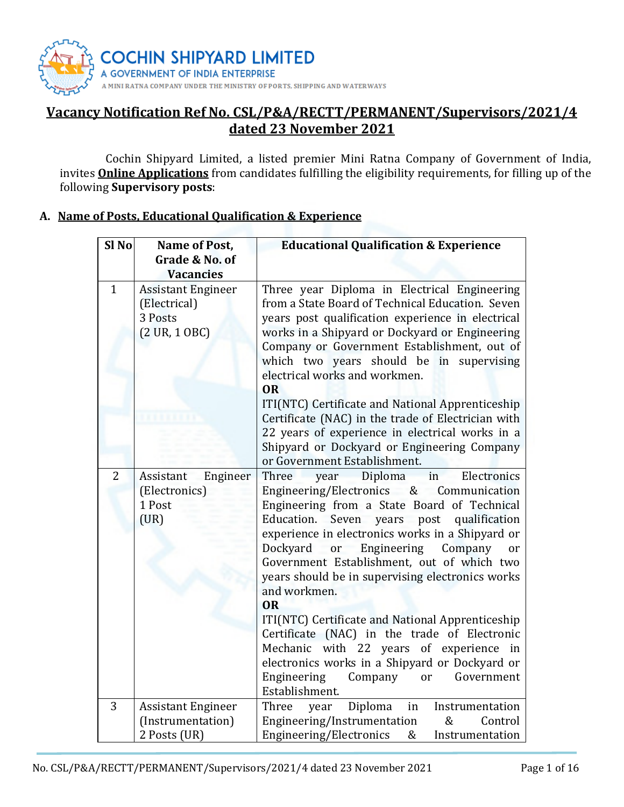

# Vacancy Notification Ref No. CSL/P&A/RECTT/PERMANENT/Supervisors/2021/4 dated 23 November 2021

 Cochin Shipyard Limited, a listed premier Mini Ratna Company of Government of India, invites **Online Applications** from candidates fulfilling the eligibility requirements, for filling up of the following Supervisory posts:

# A. Name of Posts, Educational Qualification & Experience

| Sl <sub>No</sub> | Name of Post,                                                                           | <b>Educational Qualification &amp; Experience</b>                                                                                                                                                                                                                                                                                                                                                                                                                                                                                                                                                                                                   |  |  |
|------------------|-----------------------------------------------------------------------------------------|-----------------------------------------------------------------------------------------------------------------------------------------------------------------------------------------------------------------------------------------------------------------------------------------------------------------------------------------------------------------------------------------------------------------------------------------------------------------------------------------------------------------------------------------------------------------------------------------------------------------------------------------------------|--|--|
|                  | Grade & No. of                                                                          |                                                                                                                                                                                                                                                                                                                                                                                                                                                                                                                                                                                                                                                     |  |  |
|                  | <b>Vacancies</b>                                                                        |                                                                                                                                                                                                                                                                                                                                                                                                                                                                                                                                                                                                                                                     |  |  |
| $\mathbf{1}$     | <b>Assistant Engineer</b><br>(Electrical)<br>3 Posts<br>$(2 \text{ UR}, 1 \text{ OBC})$ | Three year Diploma in Electrical Engineering<br>from a State Board of Technical Education. Seven<br>years post qualification experience in electrical<br>works in a Shipyard or Dockyard or Engineering<br>Company or Government Establishment, out of<br>which two years should be in supervising<br>electrical works and workmen.<br><b>OR</b>                                                                                                                                                                                                                                                                                                    |  |  |
|                  |                                                                                         | ITI(NTC) Certificate and National Apprenticeship                                                                                                                                                                                                                                                                                                                                                                                                                                                                                                                                                                                                    |  |  |
|                  |                                                                                         | Certificate (NAC) in the trade of Electrician with<br>22 years of experience in electrical works in a<br>Shipyard or Dockyard or Engineering Company<br>or Government Establishment.                                                                                                                                                                                                                                                                                                                                                                                                                                                                |  |  |
| 2                | Assistant<br>Engineer                                                                   | Three<br>Diploma<br>in<br>Electronics<br>year                                                                                                                                                                                                                                                                                                                                                                                                                                                                                                                                                                                                       |  |  |
|                  | (Electronics)<br>1 Post<br>(UR)                                                         | Engineering/Electronics & Communication<br>Engineering from a State Board of Technical<br>Seven years post qualification<br>Education.<br>experience in electronics works in a Shipyard or<br>Dockyard<br>Engineering<br>or<br>Company<br>or<br>Government Establishment, out of which two<br>years should be in supervising electronics works<br>and workmen.<br><b>OR</b><br>ITI(NTC) Certificate and National Apprenticeship<br>Certificate (NAC) in the trade of Electronic<br>Mechanic with 22 years of experience in<br>electronics works in a Shipyard or Dockyard or<br>Government<br>Engineering<br>Company<br><b>or</b><br>Establishment. |  |  |
| 3                | <b>Assistant Engineer</b>                                                               | Diploma<br>Three<br>in<br>Instrumentation<br>year                                                                                                                                                                                                                                                                                                                                                                                                                                                                                                                                                                                                   |  |  |
|                  | (Instrumentation)<br>2 Posts (UR)                                                       | Engineering/Instrumentation<br>Control<br>&<br>Engineering/Electronics<br>&<br>Instrumentation                                                                                                                                                                                                                                                                                                                                                                                                                                                                                                                                                      |  |  |
|                  |                                                                                         |                                                                                                                                                                                                                                                                                                                                                                                                                                                                                                                                                                                                                                                     |  |  |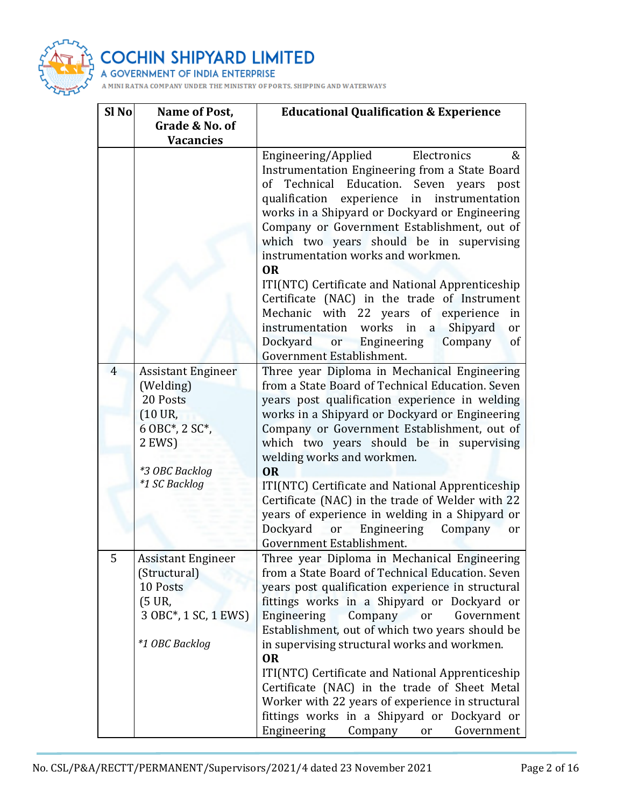

| Sl No          | Name of Post,<br>Grade & No. of                                                                                       | <b>Educational Qualification &amp; Experience</b>                                                                                                                                                                                                                                                                                                                                                                                                                                              |  |  |
|----------------|-----------------------------------------------------------------------------------------------------------------------|------------------------------------------------------------------------------------------------------------------------------------------------------------------------------------------------------------------------------------------------------------------------------------------------------------------------------------------------------------------------------------------------------------------------------------------------------------------------------------------------|--|--|
|                | <b>Vacancies</b>                                                                                                      |                                                                                                                                                                                                                                                                                                                                                                                                                                                                                                |  |  |
|                |                                                                                                                       | Engineering/Applied<br>Electronics<br>&<br>Instrumentation Engineering from a State Board<br>Technical Education. Seven years post<br>of<br>qualification experience<br>in instrumentation<br>works in a Shipyard or Dockyard or Engineering<br>Company or Government Establishment, out of<br>which two years should be in supervising<br>instrumentation works and workmen.<br><b>OR</b><br>ITI(NTC) Certificate and National Apprenticeship<br>Certificate (NAC) in the trade of Instrument |  |  |
|                |                                                                                                                       | Mechanic with 22 years of experience<br>in<br>instrumentation works in a<br>Shipyard<br>or<br>Dockyard<br>or Engineering<br>Company<br><sub>of</sub><br>Government Establishment.                                                                                                                                                                                                                                                                                                              |  |  |
| $\overline{4}$ | <b>Assistant Engineer</b><br>(Welding)<br>20 Posts<br>$(10 \text{ UR})$<br>6 OBC*, 2 SC*,<br>2 EWS)<br>*3 OBC Backlog | Three year Diploma in Mechanical Engineering<br>from a State Board of Technical Education. Seven<br>years post qualification experience in welding<br>works in a Shipyard or Dockyard or Engineering<br>Company or Government Establishment, out of<br>which two years should be in supervising<br>welding works and workmen.<br><b>OR</b>                                                                                                                                                     |  |  |
|                | *1 SC Backlog                                                                                                         | ITI(NTC) Certificate and National Apprenticeship<br>Certificate (NAC) in the trade of Welder with 22<br>years of experience in welding in a Shipyard or<br>Dockyard<br><b>or</b><br>Engineering<br>Company<br>or<br>Government Establishment.                                                                                                                                                                                                                                                  |  |  |
| 5              | <b>Assistant Engineer</b><br>(Structural)<br>10 Posts<br>$(5 \text{ UR})$<br>3 OBC*, 1 SC, 1 EWS)<br>*1 OBC Backlog   | Three year Diploma in Mechanical Engineering<br>from a State Board of Technical Education. Seven<br>years post qualification experience in structural<br>fittings works in a Shipyard or Dockyard or<br>Engineering<br>Company<br>Government<br><b>or</b><br>Establishment, out of which two years should be<br>in supervising structural works and workmen.                                                                                                                                   |  |  |
|                |                                                                                                                       | <b>OR</b><br>ITI(NTC) Certificate and National Apprenticeship<br>Certificate (NAC) in the trade of Sheet Metal<br>Worker with 22 years of experience in structural<br>fittings works in a Shipyard or Dockyard or<br>Engineering<br>Company<br>Government<br>or                                                                                                                                                                                                                                |  |  |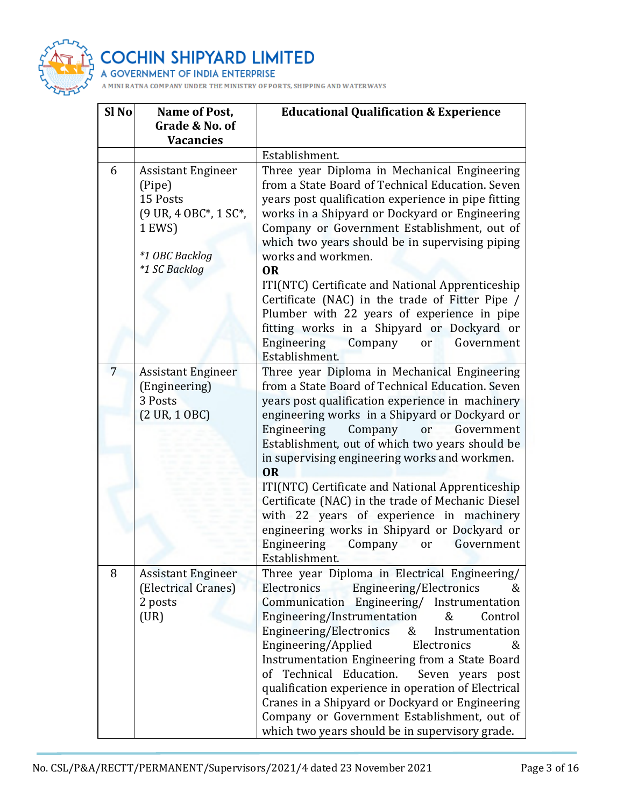

| Sl <sub>No</sub> | Name of Post,                                                                      | <b>Educational Qualification &amp; Experience</b>                                                                                                                                                                                                                                                                                                                                                                                                                                                                                                                                                    |  |  |
|------------------|------------------------------------------------------------------------------------|------------------------------------------------------------------------------------------------------------------------------------------------------------------------------------------------------------------------------------------------------------------------------------------------------------------------------------------------------------------------------------------------------------------------------------------------------------------------------------------------------------------------------------------------------------------------------------------------------|--|--|
|                  | Grade & No. of<br><b>Vacancies</b>                                                 |                                                                                                                                                                                                                                                                                                                                                                                                                                                                                                                                                                                                      |  |  |
|                  |                                                                                    | Establishment.                                                                                                                                                                                                                                                                                                                                                                                                                                                                                                                                                                                       |  |  |
| 6                | <b>Assistant Engineer</b><br>(Pipe)<br>15 Posts<br>(9 UR, 4 OBC*, 1 SC*,<br>1 EWS) | Three year Diploma in Mechanical Engineering<br>from a State Board of Technical Education. Seven<br>years post qualification experience in pipe fitting<br>works in a Shipyard or Dockyard or Engineering<br>Company or Government Establishment, out of<br>which two years should be in supervising piping                                                                                                                                                                                                                                                                                          |  |  |
|                  | *1 OBC Backlog<br>*1 SC Backlog                                                    | works and workmen.                                                                                                                                                                                                                                                                                                                                                                                                                                                                                                                                                                                   |  |  |
|                  |                                                                                    | <b>OR</b><br>ITI(NTC) Certificate and National Apprenticeship<br>Certificate (NAC) in the trade of Fitter Pipe /<br>Plumber with 22 years of experience in pipe<br>fitting works in a Shipyard or Dockyard or<br>Engineering<br>Company<br>Government<br>or<br>Establishment.                                                                                                                                                                                                                                                                                                                        |  |  |
| 7                | <b>Assistant Engineer</b>                                                          | Three year Diploma in Mechanical Engineering                                                                                                                                                                                                                                                                                                                                                                                                                                                                                                                                                         |  |  |
|                  | (Engineering)                                                                      | from a State Board of Technical Education. Seven                                                                                                                                                                                                                                                                                                                                                                                                                                                                                                                                                     |  |  |
|                  | 3 Posts                                                                            | years post qualification experience in machinery                                                                                                                                                                                                                                                                                                                                                                                                                                                                                                                                                     |  |  |
|                  | $(2 \text{ UR}, 1 \text{ OBC})$                                                    | engineering works in a Shipyard or Dockyard or<br>Engineering<br>Company<br>or<br>Government<br>Establishment, out of which two years should be<br>in supervising engineering works and workmen.<br><b>OR</b><br>ITI(NTC) Certificate and National Apprenticeship<br>Certificate (NAC) in the trade of Mechanic Diesel<br>with 22 years of experience in machinery<br>engineering works in Shipyard or Dockyard or                                                                                                                                                                                   |  |  |
|                  |                                                                                    | Engineering Company<br>Government<br>or<br>Establishment.                                                                                                                                                                                                                                                                                                                                                                                                                                                                                                                                            |  |  |
| 8                | <b>Assistant Engineer</b><br>(Electrical Cranes)<br>2 posts<br>(UR)                | Three year Diploma in Electrical Engineering/<br>Electronics<br>Engineering/Electronics<br>&<br>Communication Engineering/ Instrumentation<br>Engineering/Instrumentation<br>Control<br>&<br>Engineering/Electronics<br>&<br>Instrumentation<br>Engineering/Applied<br>Electronics<br>&<br>Instrumentation Engineering from a State Board<br>of Technical Education.<br>Seven years post<br>qualification experience in operation of Electrical<br>Cranes in a Shipyard or Dockyard or Engineering<br>Company or Government Establishment, out of<br>which two years should be in supervisory grade. |  |  |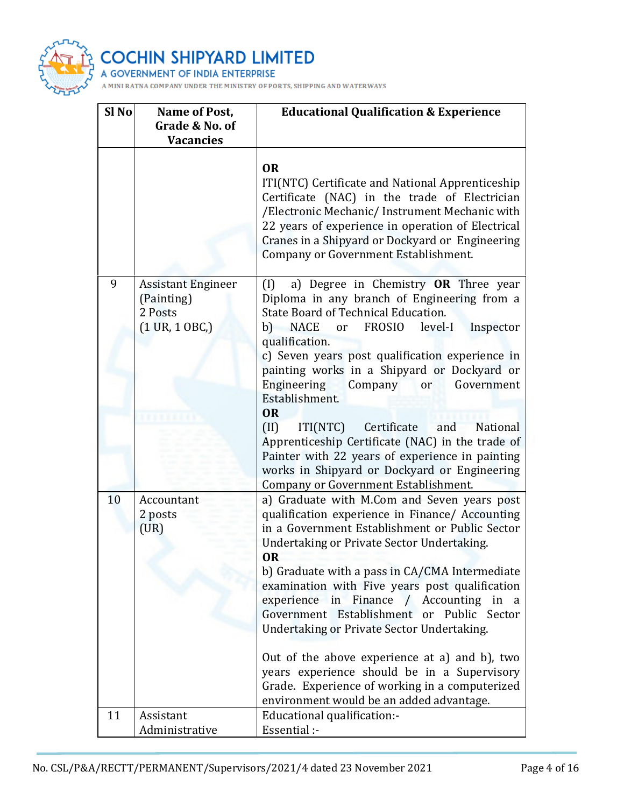

| Sl <sub>No</sub> | Name of Post,<br>Grade & No. of<br><b>Vacancies</b>                                   | <b>Educational Qualification &amp; Experience</b>                                                                                                                                                                                                                                                                                                                                                                                                                                                                                                                                                                                                   |  |
|------------------|---------------------------------------------------------------------------------------|-----------------------------------------------------------------------------------------------------------------------------------------------------------------------------------------------------------------------------------------------------------------------------------------------------------------------------------------------------------------------------------------------------------------------------------------------------------------------------------------------------------------------------------------------------------------------------------------------------------------------------------------------------|--|
|                  |                                                                                       | <b>OR</b><br>ITI(NTC) Certificate and National Apprenticeship<br>Certificate (NAC) in the trade of Electrician<br>/Electronic Mechanic/ Instrument Mechanic with<br>22 years of experience in operation of Electrical<br>Cranes in a Shipyard or Dockyard or Engineering<br>Company or Government Establishment.                                                                                                                                                                                                                                                                                                                                    |  |
| 9                | <b>Assistant Engineer</b><br>(Painting)<br>2 Posts<br>$(1 \text{ UR}, 1 \text{ OBC})$ | a) Degree in Chemistry OR Three year<br>(1)<br>Diploma in any branch of Engineering from a<br>State Board of Technical Education.<br>b) NACE<br>or FROSIO<br>level-I<br>Inspector<br>qualification.<br>c) Seven years post qualification experience in<br>painting works in a Shipyard or Dockyard or<br>Engineering<br>Government<br>Company<br>or<br>Establishment.<br><b>OR</b><br>(II)<br>ITI(NTC)<br>Certificate<br>National<br>and<br>Apprenticeship Certificate (NAC) in the trade of<br>Painter with 22 years of experience in painting<br>works in Shipyard or Dockyard or Engineering<br>Company or Government Establishment.             |  |
| 10               | Accountant<br>2 posts<br>(UR)                                                         | a) Graduate with M.Com and Seven years post<br>qualification experience in Finance/ Accounting<br>in a Government Establishment or Public Sector<br>Undertaking or Private Sector Undertaking.<br><b>OR</b><br>b) Graduate with a pass in CA/CMA Intermediate<br>examination with Five years post qualification<br>experience in Finance / Accounting in a<br>Government Establishment or Public Sector<br>Undertaking or Private Sector Undertaking.<br>Out of the above experience at a) and b), two<br>years experience should be in a Supervisory<br>Grade. Experience of working in a computerized<br>environment would be an added advantage. |  |
| 11               | Assistant<br>Administrative                                                           | Educational qualification:-<br>Essential :-                                                                                                                                                                                                                                                                                                                                                                                                                                                                                                                                                                                                         |  |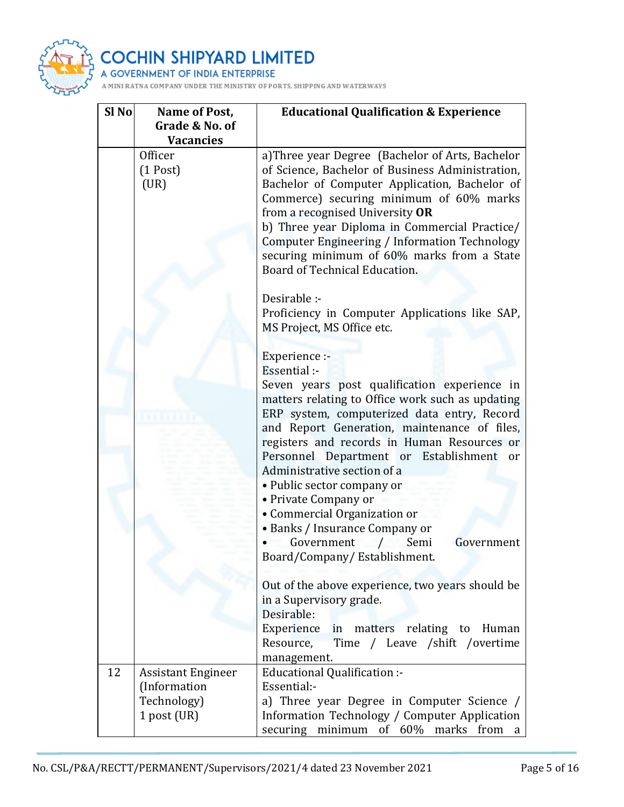

| Sl <sub>No</sub> | Name of Post,                                                             | <b>Educational Qualification &amp; Experience</b>                                                                                                                                                                                                                                                                                                                                                                                                                                                                                     |  |  |
|------------------|---------------------------------------------------------------------------|---------------------------------------------------------------------------------------------------------------------------------------------------------------------------------------------------------------------------------------------------------------------------------------------------------------------------------------------------------------------------------------------------------------------------------------------------------------------------------------------------------------------------------------|--|--|
|                  | Grade & No. of<br><b>Vacancies</b>                                        |                                                                                                                                                                                                                                                                                                                                                                                                                                                                                                                                       |  |  |
|                  | Officer<br>$(1$ Post)<br>(UR)                                             | a)Three year Degree (Bachelor of Arts, Bachelor<br>of Science, Bachelor of Business Administration,<br>Bachelor of Computer Application, Bachelor of<br>Commerce) securing minimum of 60% marks<br>from a recognised University OR<br>b) Three year Diploma in Commercial Practice/<br>Computer Engineering / Information Technology<br>securing minimum of 60% marks from a State<br>Board of Technical Education.                                                                                                                   |  |  |
|                  |                                                                           | Desirable :-<br>Proficiency in Computer Applications like SAP,<br>MS Project, MS Office etc.                                                                                                                                                                                                                                                                                                                                                                                                                                          |  |  |
|                  |                                                                           | Experience :-<br>Essential :-<br>Seven years post qualification experience in<br>matters relating to Office work such as updating<br>ERP system, computerized data entry, Record<br>and Report Generation, maintenance of files,<br>registers and records in Human Resources or<br>Personnel Department or Establishment<br>or<br>Administrative section of a<br>· Public sector company or<br>• Private Company or<br>• Commercial Organization or<br>• Banks / Insurance Company or<br>Government<br>Semi<br>Government<br>$\prime$ |  |  |
|                  |                                                                           | Board/Company/ Establishment.<br>Out of the above experience, two years should be<br>in a Supervisory grade.<br>Desirable:<br>Experience in matters relating to Human<br>Time / Leave /shift /overtime<br>Resource,<br>management.                                                                                                                                                                                                                                                                                                    |  |  |
| 12               | <b>Assistant Engineer</b><br>(Information<br>Technology)<br>$1$ post (UR) | Educational Qualification :-<br>Essential:-<br>a) Three year Degree in Computer Science /<br>Information Technology / Computer Application                                                                                                                                                                                                                                                                                                                                                                                            |  |  |
|                  |                                                                           | securing<br>minimum<br>of $60\%$<br>marks<br>from<br>a                                                                                                                                                                                                                                                                                                                                                                                                                                                                                |  |  |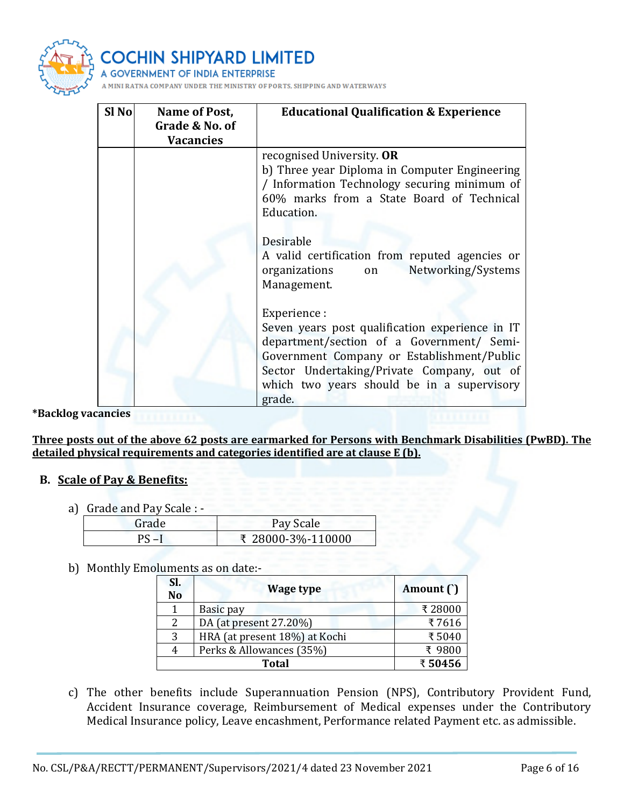

| Sl <sub>No</sub> | Name of Post,<br>Grade & No. of<br><b>Vacancies</b> | <b>Educational Qualification &amp; Experience</b>                                                                                                                                                                                                                |  |  |
|------------------|-----------------------------------------------------|------------------------------------------------------------------------------------------------------------------------------------------------------------------------------------------------------------------------------------------------------------------|--|--|
|                  |                                                     | recognised University. OR<br>b) Three year Diploma in Computer Engineering<br>/ Information Technology securing minimum of<br>60% marks from a State Board of Technical<br>Education.                                                                            |  |  |
|                  |                                                     | Desirable<br>A valid certification from reputed agencies or<br>Networking/Systems<br>organizations<br>on<br>Management.                                                                                                                                          |  |  |
|                  |                                                     | Experience :<br>Seven years post qualification experience in IT<br>department/section of a Government/ Semi-<br>Government Company or Establishment/Public<br>Sector Undertaking/Private Company, out of<br>which two years should be in a supervisory<br>grade. |  |  |

\*Backlog vacancies

Three posts out of the above 62 posts are earmarked for Persons with Benchmark Disabilities (PwBD). The detailed physical requirements and categories identified are at clause E (b).

#### B. Scale of Pay & Benefits:

a) Grade and Pay Scale : -

| Grade | Pay Scale         |
|-------|-------------------|
| nс    | ₹ 28000-3%-110000 |

b) Monthly Emoluments as on date:-

| SI.<br>N <sub>o</sub> | <b>Wage type</b>              | Amount (`) |  |
|-----------------------|-------------------------------|------------|--|
|                       | Basic pay                     | ₹28000     |  |
|                       | DA (at present 27.20%)        | ₹7616      |  |
| 3                     | HRA (at present 18%) at Kochi | ₹5040      |  |
|                       | Perks & Allowances (35%)      | ₹ 9800     |  |
|                       | <b>Total</b>                  |            |  |

c) The other benefits include Superannuation Pension (NPS), Contributory Provident Fund, Accident Insurance coverage, Reimbursement of Medical expenses under the Contributory Medical Insurance policy, Leave encashment, Performance related Payment etc. as admissible.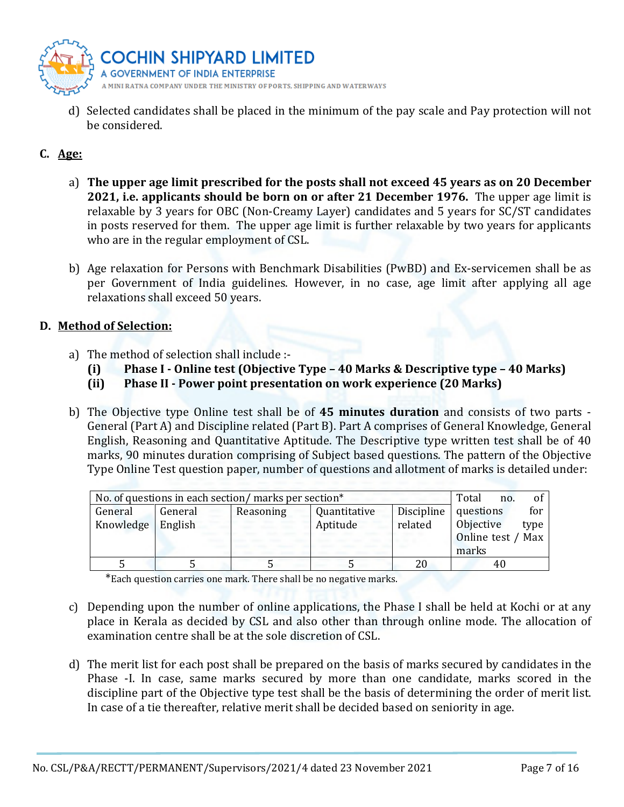

d) Selected candidates shall be placed in the minimum of the pay scale and Pay protection will not be considered.

# C. Age:

- a) The upper age limit prescribed for the posts shall not exceed 45 years as on 20 December 2021, i.e. applicants should be born on or after 21 December 1976. The upper age limit is relaxable by 3 years for OBC (Non-Creamy Layer) candidates and 5 years for SC/ST candidates in posts reserved for them. The upper age limit is further relaxable by two years for applicants who are in the regular employment of CSL.
- b) Age relaxation for Persons with Benchmark Disabilities (PwBD) and Ex-servicemen shall be as per Government of India guidelines. However, in no case, age limit after applying all age relaxations shall exceed 50 years.

#### D. Method of Selection:

- a) The method of selection shall include :-
	- (i) Phase I Online test (Objective Type 40 Marks & Descriptive type 40 Marks)
	- (ii) Phase II Power point presentation on work experience (20 Marks)
- b) The Objective type Online test shall be of 45 minutes duration and consists of two parts -General (Part A) and Discipline related (Part B). Part A comprises of General Knowledge, General English, Reasoning and Quantitative Aptitude. The Descriptive type written test shall be of 40 marks, 90 minutes duration comprising of Subject based questions. The pattern of the Objective Type Online Test question paper, number of questions and allotment of marks is detailed under:

| No. of questions in each section/ marks per section* |         |           |              |            | Total         | no. |      |
|------------------------------------------------------|---------|-----------|--------------|------------|---------------|-----|------|
| General                                              | General | Reasoning | Quantitative | Discipline | questions     |     | for  |
| Knowledge                                            | English |           | Aptitude     | related    | Objective     |     | type |
|                                                      |         |           |              |            | Online test / |     | Max  |
|                                                      |         |           |              |            | marks         |     |      |
|                                                      |         |           |              | 20         |               | 40  |      |

\*Each question carries one mark. There shall be no negative marks.

- c) Depending upon the number of online applications, the Phase I shall be held at Kochi or at any place in Kerala as decided by CSL and also other than through online mode. The allocation of examination centre shall be at the sole discretion of CSL.
- d) The merit list for each post shall be prepared on the basis of marks secured by candidates in the Phase -I. In case, same marks secured by more than one candidate, marks scored in the discipline part of the Objective type test shall be the basis of determining the order of merit list. In case of a tie thereafter, relative merit shall be decided based on seniority in age.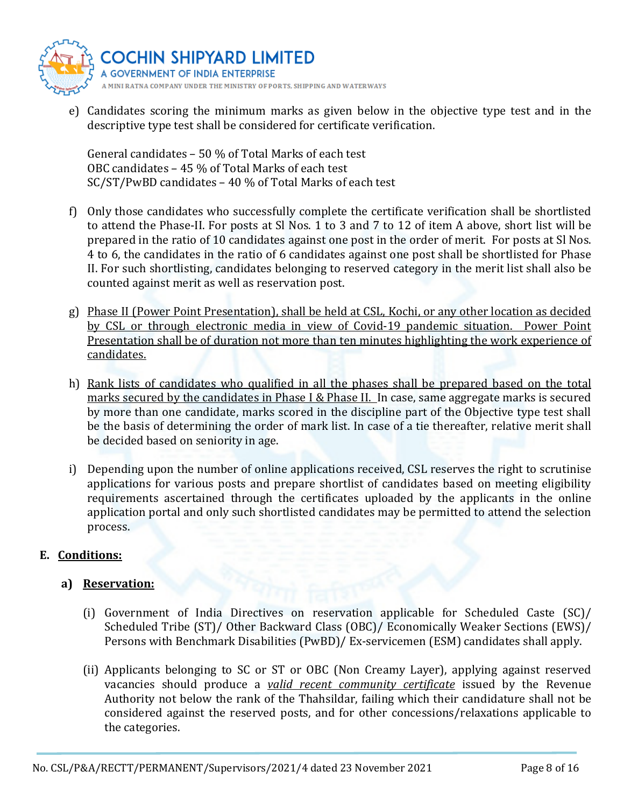

e) Candidates scoring the minimum marks as given below in the objective type test and in the descriptive type test shall be considered for certificate verification.

General candidates – 50 % of Total Marks of each test OBC candidates – 45 % of Total Marks of each test SC/ST/PwBD candidates – 40 % of Total Marks of each test

- f) Only those candidates who successfully complete the certificate verification shall be shortlisted to attend the Phase-II. For posts at Sl Nos. 1 to 3 and 7 to 12 of item A above, short list will be prepared in the ratio of 10 candidates against one post in the order of merit. For posts at Sl Nos. 4 to 6, the candidates in the ratio of 6 candidates against one post shall be shortlisted for Phase II. For such shortlisting, candidates belonging to reserved category in the merit list shall also be counted against merit as well as reservation post.
- g) Phase II (Power Point Presentation), shall be held at CSL, Kochi, or any other location as decided by CSL or through electronic media in view of Covid-19 pandemic situation. Power Point Presentation shall be of duration not more than ten minutes highlighting the work experience of candidates.
- h) Rank lists of candidates who qualified in all the phases shall be prepared based on the total marks secured by the candidates in Phase I & Phase II. In case, same aggregate marks is secured by more than one candidate, marks scored in the discipline part of the Objective type test shall be the basis of determining the order of mark list. In case of a tie thereafter, relative merit shall be decided based on seniority in age.
- i) Depending upon the number of online applications received, CSL reserves the right to scrutinise applications for various posts and prepare shortlist of candidates based on meeting eligibility requirements ascertained through the certificates uploaded by the applicants in the online application portal and only such shortlisted candidates may be permitted to attend the selection process.

# E. Conditions:

# a) Reservation:

- (i) Government of India Directives on reservation applicable for Scheduled Caste (SC)/ Scheduled Tribe (ST)/ Other Backward Class (OBC)/ Economically Weaker Sections (EWS)/ Persons with Benchmark Disabilities (PwBD)/ Ex-servicemen (ESM) candidates shall apply.
- (ii) Applicants belonging to SC or ST or OBC (Non Creamy Layer), applying against reserved vacancies should produce a *valid recent community certificate* issued by the Revenue Authority not below the rank of the Thahsildar, failing which their candidature shall not be considered against the reserved posts, and for other concessions/relaxations applicable to the categories.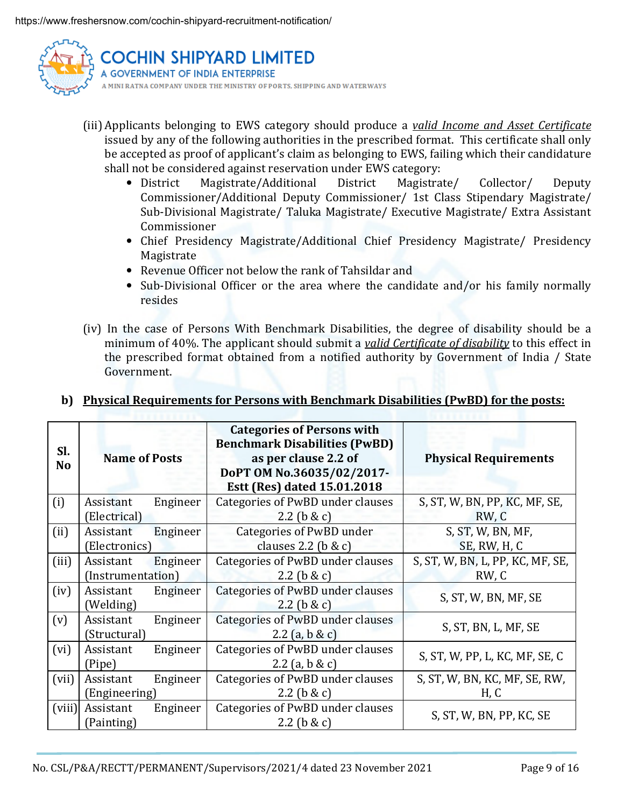

- (iii) Applicants belonging to EWS category should produce a valid Income and Asset Certificate issued by any of the following authorities in the prescribed format. This certificate shall only be accepted as proof of applicant's claim as belonging to EWS, failing which their candidature shall not be considered against reservation under EWS category:
	- District Magistrate/Additional District Magistrate/ Collector/ Deputy Commissioner/Additional Deputy Commissioner/ 1st Class Stipendary Magistrate/ Sub-Divisional Magistrate/ Taluka Magistrate/ Executive Magistrate/ Extra Assistant Commissioner
	- Chief Presidency Magistrate/Additional Chief Presidency Magistrate/ Presidency Magistrate
	- Revenue Officer not below the rank of Tahsildar and
	- Sub-Divisional Officer or the area where the candidate and/or his family normally resides
- (iv) In the case of Persons With Benchmark Disabilities, the degree of disability should be a minimum of 40%. The applicant should submit a valid Certificate of disability to this effect in the prescribed format obtained from a notified authority by Government of India / State Government.

| Sl.<br><b>No</b> | <b>Name of Posts</b>           |          | <b>Categories of Persons with</b><br><b>Benchmark Disabilities (PwBD)</b><br>as per clause 2.2 of<br>DoPT OM No.36035/02/2017-<br>Estt (Res) dated 15.01.2018 | <b>Physical Requirements</b>              |
|------------------|--------------------------------|----------|---------------------------------------------------------------------------------------------------------------------------------------------------------------|-------------------------------------------|
| (i)              | Assistant<br>(Electrical)      | Engineer | Categories of PwBD under clauses<br>$2.2$ (b & c)                                                                                                             | S, ST, W, BN, PP, KC, MF, SE,<br>RW, C    |
| (ii)             | Assistant<br>(Electronics)     | Engineer | Categories of PwBD under<br>clauses 2.2 ( $\mathbf b \& \mathbf c$ )                                                                                          | S, ST, W, BN, MF,<br>SE, RW, H, C         |
| (iii)            | Assistant<br>(Instrumentation) | Engineer | Categories of PwBD under clauses<br>2.2 ( $b & c$ )                                                                                                           | S, ST, W, BN, L, PP, KC, MF, SE,<br>RW, C |
| (iv)             | Assistant<br>(Welding)         | Engineer | Categories of PwBD under clauses<br>$2.2$ (b & c)                                                                                                             | S, ST, W, BN, MF, SE                      |
| (v)              | Assistant<br>(Structural)      | Engineer | Categories of PwBD under clauses<br>2.2 (a, b & c)                                                                                                            | S, ST, BN, L, MF, SE                      |
| (vi)             | Assistant<br>(Pipe)            | Engineer | Categories of PwBD under clauses<br>2.2 (a, b & c)                                                                                                            | S, ST, W, PP, L, KC, MF, SE, C            |
| (vii)            | Assistant<br>(Engineering)     | Engineer | Categories of PwBD under clauses<br>2.2 ( $b & c$ )                                                                                                           | S, ST, W, BN, KC, MF, SE, RW,<br>H, C     |
| (viii)           | Assistant<br>(Painting)        | Engineer | Categories of PwBD under clauses<br>2.2 ( $\frac{1}{2}$ & c)                                                                                                  | S, ST, W, BN, PP, KC, SE                  |

# b) Physical Requirements for Persons with Benchmark Disabilities (PwBD) for the posts: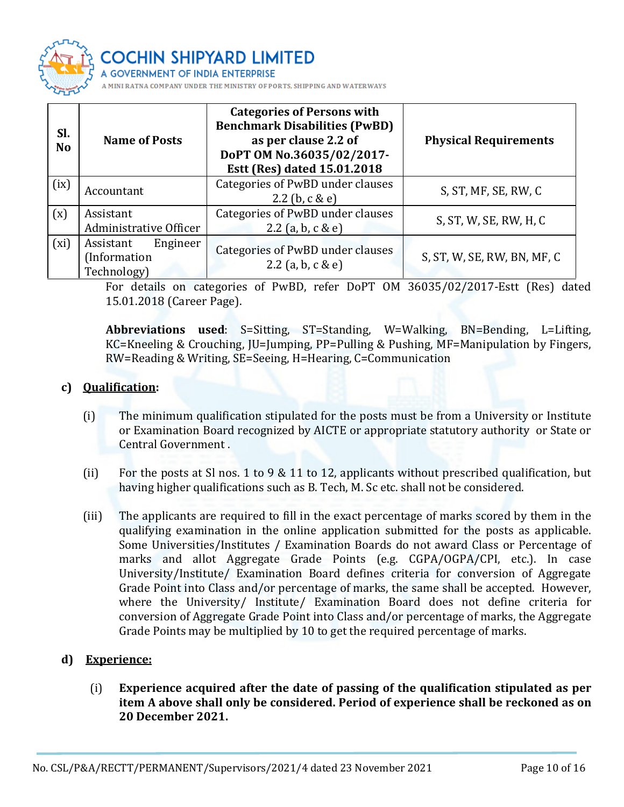

**IIN SHIPYARD LIMITED** 

ANY UNDER THE MINISTRY OF PORTS, SHIPPING AND WATERWAYS

| Sl.<br><b>No</b> | <b>Name of Posts</b>                                 | <b>Categories of Persons with</b><br><b>Benchmark Disabilities (PwBD)</b><br>as per clause 2.2 of<br>DoPT OM No.36035/02/2017-<br>Estt (Res) dated 15.01.2018 | <b>Physical Requirements</b> |
|------------------|------------------------------------------------------|---------------------------------------------------------------------------------------------------------------------------------------------------------------|------------------------------|
| (ix)             | Accountant                                           | Categories of PwBD under clauses<br>2.2 (b, $c & e$ )                                                                                                         | S, ST, MF, SE, RW, C         |
| (x)              | Assistant<br>Administrative Officer                  | Categories of PwBD under clauses<br>2.2 (a, b, c & e)                                                                                                         | S, ST, W, SE, RW, H, C       |
| (xi)             | Assistant<br>Engineer<br>(Information<br>Technology) | Categories of PwBD under clauses<br>2.2 (a, b, c & e)                                                                                                         | S, ST, W, SE, RW, BN, MF, C  |

For details on categories of PwBD, refer DoPT OM 36035/02/2017-Estt (Res) dated 15.01.2018 (Career Page).

Abbreviations used: S=Sitting, ST=Standing, W=Walking, BN=Bending, L=Lifting, KC=Kneeling & Crouching, JU=Jumping, PP=Pulling & Pushing, MF=Manipulation by Fingers, RW=Reading & Writing, SE=Seeing, H=Hearing, C=Communication

# c) Qualification:

- (i) The minimum qualification stipulated for the posts must be from a University or Institute or Examination Board recognized by AICTE or appropriate statutory authority or State or Central Government .
- (ii) For the posts at Sl nos. 1 to 9 & 11 to 12, applicants without prescribed qualification, but having higher qualifications such as B. Tech, M. Sc etc. shall not be considered.
- (iii) The applicants are required to fill in the exact percentage of marks scored by them in the qualifying examination in the online application submitted for the posts as applicable. Some Universities/Institutes / Examination Boards do not award Class or Percentage of marks and allot Aggregate Grade Points (e.g. CGPA/OGPA/CPI, etc.). In case University/Institute/ Examination Board defines criteria for conversion of Aggregate Grade Point into Class and/or percentage of marks, the same shall be accepted. However, where the University/ Institute/ Examination Board does not define criteria for conversion of Aggregate Grade Point into Class and/or percentage of marks, the Aggregate Grade Points may be multiplied by 10 to get the required percentage of marks.

## d) Experience:

(i) Experience acquired after the date of passing of the qualification stipulated as per item A above shall only be considered. Period of experience shall be reckoned as on 20 December 2021.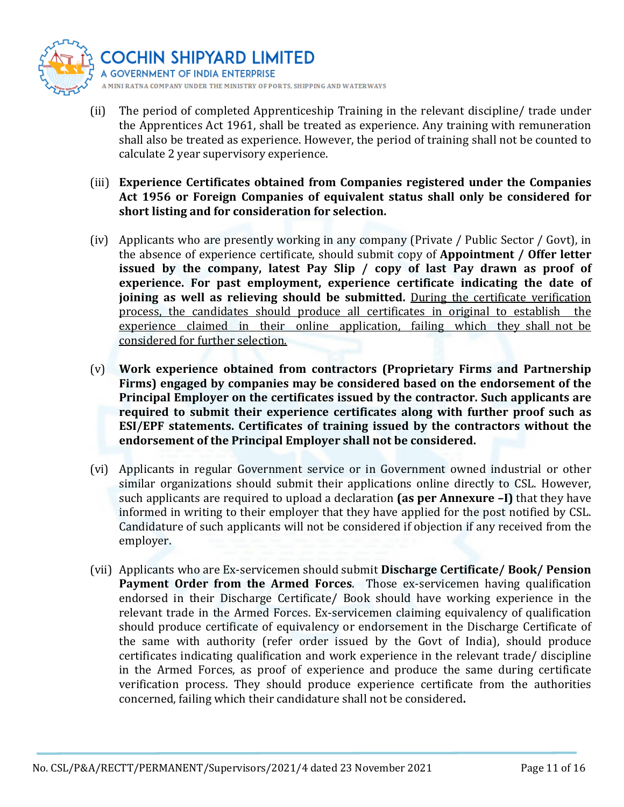

- (ii) The period of completed Apprenticeship Training in the relevant discipline/ trade under the Apprentices Act 1961, shall be treated as experience. Any training with remuneration shall also be treated as experience. However, the period of training shall not be counted to calculate 2 year supervisory experience.
- (iii) Experience Certificates obtained from Companies registered under the Companies Act 1956 or Foreign Companies of equivalent status shall only be considered for short listing and for consideration for selection.
- (iv) Applicants who are presently working in any company (Private / Public Sector / Govt), in the absence of experience certificate, should submit copy of Appointment / Offer letter issued by the company, latest Pay Slip / copy of last Pay drawn as proof of experience. For past employment, experience certificate indicating the date of joining as well as relieving should be submitted. During the certificate verification process, the candidates should produce all certificates in original to establish the experience claimed in their online application, failing which they shall not be considered for further selection.
- (v) Work experience obtained from contractors (Proprietary Firms and Partnership Firms) engaged by companies may be considered based on the endorsement of the Principal Employer on the certificates issued by the contractor. Such applicants are required to submit their experience certificates along with further proof such as ESI/EPF statements. Certificates of training issued by the contractors without the endorsement of the Principal Employer shall not be considered.
- (vi) Applicants in regular Government service or in Government owned industrial or other similar organizations should submit their applications online directly to CSL. However, such applicants are required to upload a declaration (as per Annexure  $-I$ ) that they have informed in writing to their employer that they have applied for the post notified by CSL. Candidature of such applicants will not be considered if objection if any received from the employer.
- (vii) Applicants who are Ex-servicemen should submit Discharge Certificate/ Book/ Pension Payment Order from the Armed Forces. Those ex-servicemen having qualification endorsed in their Discharge Certificate/ Book should have working experience in the relevant trade in the Armed Forces. Ex-servicemen claiming equivalency of qualification should produce certificate of equivalency or endorsement in the Discharge Certificate of the same with authority (refer order issued by the Govt of India), should produce certificates indicating qualification and work experience in the relevant trade/ discipline in the Armed Forces, as proof of experience and produce the same during certificate verification process. They should produce experience certificate from the authorities concerned, failing which their candidature shall not be considered.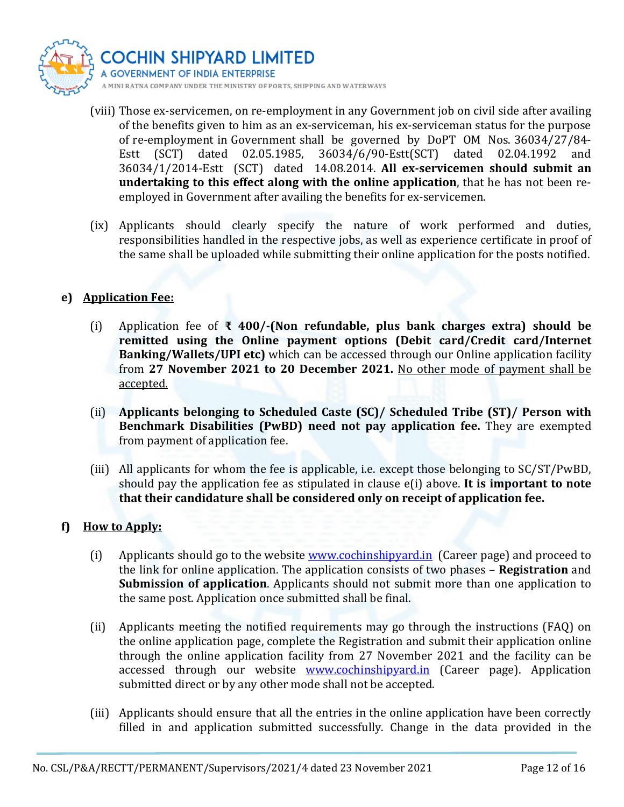

- (viii) Those ex-servicemen, on re-employment in any Government job on civil side after availing of the benefits given to him as an ex-serviceman, his ex-serviceman status for the purpose of re-employment in Government shall be governed by DoPT OM Nos. 36034/27/84- Estt (SCT) dated 02.05.1985, 36034/6/90-Estt(SCT) dated 02.04.1992 and 36034/1/2014-Estt (SCT) dated 14.08.2014. All ex-servicemen should submit an undertaking to this effect along with the online application, that he has not been reemployed in Government after availing the benefits for ex-servicemen.
- (ix) Applicants should clearly specify the nature of work performed and duties, responsibilities handled in the respective jobs, as well as experience certificate in proof of the same shall be uploaded while submitting their online application for the posts notified.

# e) Application Fee:

- (i) Application fee of  $\bar{x}$  400/-(Non refundable, plus bank charges extra) should be remitted using the Online payment options (Debit card/Credit card/Internet Banking/Wallets/UPI etc) which can be accessed through our Online application facility from 27 November 2021 to 20 December 2021. No other mode of payment shall be accepted.
- (ii) Applicants belonging to Scheduled Caste (SC)/ Scheduled Tribe (ST)/ Person with Benchmark Disabilities (PwBD) need not pay application fee. They are exempted from payment of application fee.
- (iii) All applicants for whom the fee is applicable, i.e. except those belonging to SC/ST/PwBD, should pay the application fee as stipulated in clause  $e(i)$  above. It is important to note that their candidature shall be considered only on receipt of application fee.

## f) How to Apply:

- (i) Applicants should go to the website www.cochinshipyard.in (Career page) and proceed to the link for online application. The application consists of two phases – Registration and Submission of application. Applicants should not submit more than one application to the same post. Application once submitted shall be final.
- (ii) Applicants meeting the notified requirements may go through the instructions (FAQ) on the online application page, complete the Registration and submit their application online through the online application facility from 27 November 2021 and the facility can be accessed through our website www.cochinshipyard.in (Career page). Application submitted direct or by any other mode shall not be accepted.
- (iii) Applicants should ensure that all the entries in the online application have been correctly filled in and application submitted successfully. Change in the data provided in the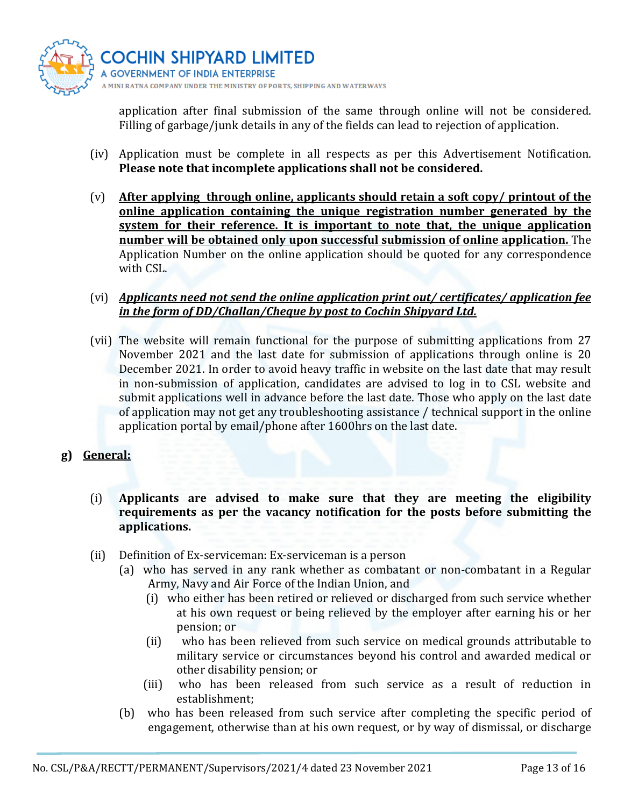

application after final submission of the same through online will not be considered. Filling of garbage/junk details in any of the fields can lead to rejection of application.

- (iv) Application must be complete in all respects as per this Advertisement Notification. Please note that incomplete applications shall not be considered.
- (v) After applying through online, applicants should retain a soft copy/ printout of the online application containing the unique registration number generated by the system for their reference. It is important to note that, the unique application number will be obtained only upon successful submission of online application. The Application Number on the online application should be quoted for any correspondence with CSL.
- (vi) Applicants need not send the online application print out/ certificates/ application fee in the form of DD/Challan/Cheque by post to Cochin Shipyard Ltd.
- (vii) The website will remain functional for the purpose of submitting applications from 27 November 2021 and the last date for submission of applications through online is 20 December 2021. In order to avoid heavy traffic in website on the last date that may result in non-submission of application, candidates are advised to log in to CSL website and submit applications well in advance before the last date. Those who apply on the last date of application may not get any troubleshooting assistance / technical support in the online application portal by email/phone after 1600hrs on the last date.
- g) General:
	- (i) Applicants are advised to make sure that they are meeting the eligibility requirements as per the vacancy notification for the posts before submitting the applications.
	- (ii) Definition of Ex-serviceman: Ex-serviceman is a person
		- (a) who has served in any rank whether as combatant or non-combatant in a Regular Army, Navy and Air Force of the Indian Union, and
			- (i) who either has been retired or relieved or discharged from such service whether at his own request or being relieved by the employer after earning his or her pension; or
			- (ii) who has been relieved from such service on medical grounds attributable to military service or circumstances beyond his control and awarded medical or other disability pension; or
			- (iii) who has been released from such service as a result of reduction in establishment;
		- (b) who has been released from such service after completing the specific period of engagement, otherwise than at his own request, or by way of dismissal, or discharge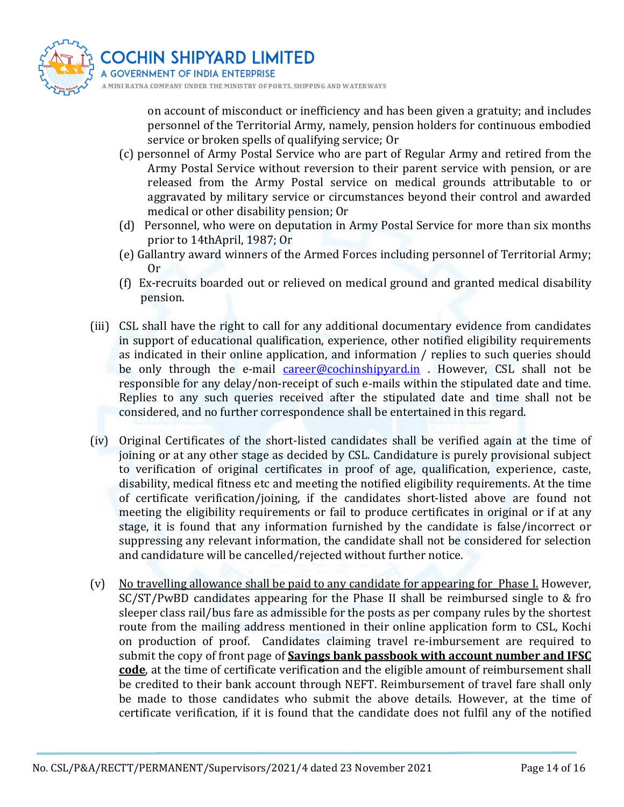

on account of misconduct or inefficiency and has been given a gratuity; and includes personnel of the Territorial Army, namely, pension holders for continuous embodied service or broken spells of qualifying service; Or

- (c) personnel of Army Postal Service who are part of Regular Army and retired from the Army Postal Service without reversion to their parent service with pension, or are released from the Army Postal service on medical grounds attributable to or aggravated by military service or circumstances beyond their control and awarded medical or other disability pension; Or
- (d) Personnel, who were on deputation in Army Postal Service for more than six months prior to 14thApril, 1987; Or
- (e) Gallantry award winners of the Armed Forces including personnel of Territorial Army; Or
- (f) Ex-recruits boarded out or relieved on medical ground and granted medical disability pension.
- (iii) CSL shall have the right to call for any additional documentary evidence from candidates in support of educational qualification, experience, other notified eligibility requirements as indicated in their online application, and information / replies to such queries should be only through the e-mail career@cochinshipyard.in . However, CSL shall not be responsible for any delay/non-receipt of such e-mails within the stipulated date and time. Replies to any such queries received after the stipulated date and time shall not be considered, and no further correspondence shall be entertained in this regard.
- (iv) Original Certificates of the short-listed candidates shall be verified again at the time of joining or at any other stage as decided by CSL. Candidature is purely provisional subject to verification of original certificates in proof of age, qualification, experience, caste, disability, medical fitness etc and meeting the notified eligibility requirements. At the time of certificate verification/joining, if the candidates short-listed above are found not meeting the eligibility requirements or fail to produce certificates in original or if at any stage, it is found that any information furnished by the candidate is false/incorrect or suppressing any relevant information, the candidate shall not be considered for selection and candidature will be cancelled/rejected without further notice.
- (v) No travelling allowance shall be paid to any candidate for appearing for Phase I. However, SC/ST/PwBD candidates appearing for the Phase II shall be reimbursed single to & fro sleeper class rail/bus fare as admissible for the posts as per company rules by the shortest route from the mailing address mentioned in their online application form to CSL, Kochi on production of proof. Candidates claiming travel re-imbursement are required to submit the copy of front page of **Savings bank passbook with account number and IFSC** code, at the time of certificate verification and the eligible amount of reimbursement shall be credited to their bank account through NEFT. Reimbursement of travel fare shall only be made to those candidates who submit the above details. However, at the time of certificate verification, if it is found that the candidate does not fulfil any of the notified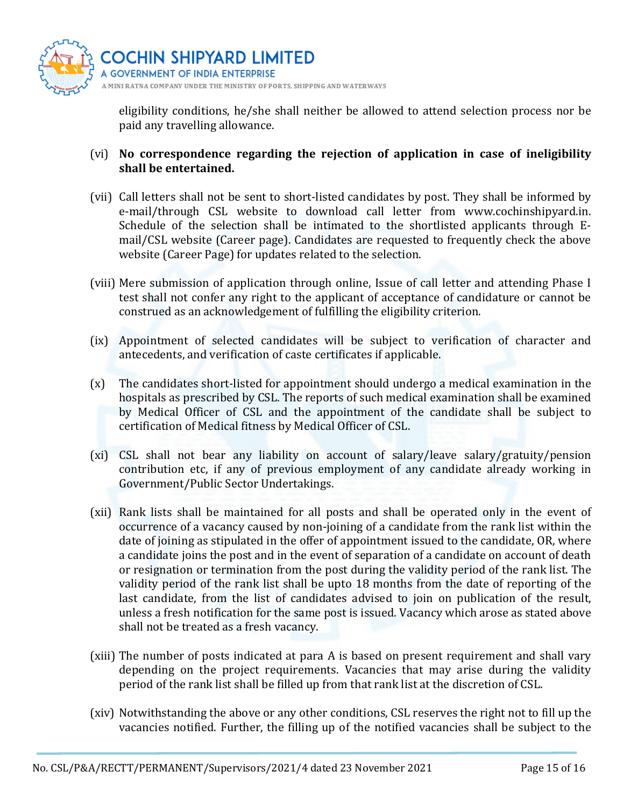

eligibility conditions, he/she shall neither be allowed to attend selection process nor be paid any travelling allowance.

## (vi) No correspondence regarding the rejection of application in case of ineligibility shall be entertained.

- (vii) Call letters shall not be sent to short-listed candidates by post. They shall be informed by e-mail/through CSL website to download call letter from www.cochinshipyard.in. Schedule of the selection shall be intimated to the shortlisted applicants through Email/CSL website (Career page). Candidates are requested to frequently check the above website (Career Page) for updates related to the selection.
- (viii) Mere submission of application through online, Issue of call letter and attending Phase I test shall not confer any right to the applicant of acceptance of candidature or cannot be construed as an acknowledgement of fulfilling the eligibility criterion.
- (ix) Appointment of selected candidates will be subject to verification of character and antecedents, and verification of caste certificates if applicable.
- (x) The candidates short-listed for appointment should undergo a medical examination in the hospitals as prescribed by CSL. The reports of such medical examination shall be examined by Medical Officer of CSL and the appointment of the candidate shall be subject to certification of Medical fitness by Medical Officer of CSL.
- (xi) CSL shall not bear any liability on account of salary/leave salary/gratuity/pension contribution etc, if any of previous employment of any candidate already working in Government/Public Sector Undertakings.
- (xii) Rank lists shall be maintained for all posts and shall be operated only in the event of occurrence of a vacancy caused by non-joining of a candidate from the rank list within the date of joining as stipulated in the offer of appointment issued to the candidate, OR, where a candidate joins the post and in the event of separation of a candidate on account of death or resignation or termination from the post during the validity period of the rank list. The validity period of the rank list shall be upto 18 months from the date of reporting of the last candidate, from the list of candidates advised to join on publication of the result, unless a fresh notification for the same post is issued. Vacancy which arose as stated above shall not be treated as a fresh vacancy.
- (xiii) The number of posts indicated at para A is based on present requirement and shall vary depending on the project requirements. Vacancies that may arise during the validity period of the rank list shall be filled up from that rank list at the discretion of CSL.
- (xiv) Notwithstanding the above or any other conditions, CSL reserves the right not to fill up the vacancies notified. Further, the filling up of the notified vacancies shall be subject to the